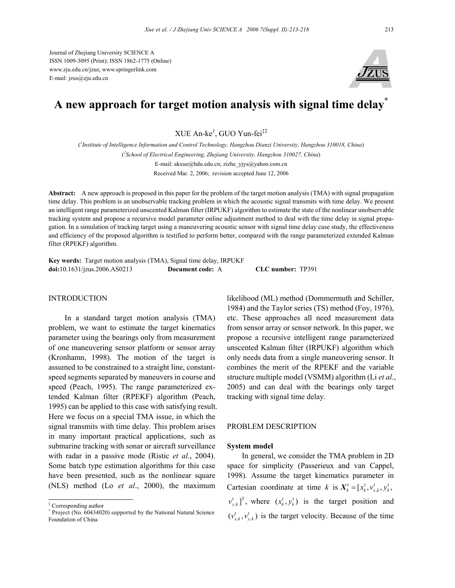Journal of Zhejiang University SCIENCE A ISSN 1009-3095 (Print); ISSN 1862-1775 (Online) www.zju.edu.cn/jzus; www.springerlink.com E-mail: jzus@zju.edu.cn



# **A new approach for target motion analysis with signal time delay\***

XUE An-ke<sup>1</sup>, GUO Yun-fei<sup>‡2</sup>

( *1 Institute of Intelligence Information and Control Technology, Hangzhou Dianzi University, Hangzhou 310018, China*) ( *2 School of Electrical Engineering, Zhejiang University, Hangzhou 310027, China*) E-mail: akxue@hdu.edu.cn; zizhe\_yjys@yahoo.com.cn Received Mar. 2, 2006; revision accepted June 12, 2006

**Abstract:** A new approach is proposed in this paper for the problem of the target motion analysis (TMA) with signal propagation time delay. This problem is an unobservable tracking problem in which the acoustic signal transmits with time delay. We present an intelligent range parameterized unscented Kalman filter (IRPUKF) algorithm to estimate the state of the nonlinear unobservable tracking system and propose a recursive model parameter online adjustment method to deal with the time delay in signal propagation. In a simulation of tracking target using a maneuvering acoustic sensor with signal time delay case study, the effectiveness and efficiency of the proposed algorithm is testified to perform better, compared with the range parameterized extended Kalman filter (RPEKF) algorithm.

**Key words:** Target motion analysis (TMA), Signal time delay, IRPUKF **doi:**10.1631/jzus.2006.AS0213 **Document code:** A **CLC number:** TP391

## **INTRODUCTION**

In a standard target motion analysis (TMA) problem, we want to estimate the target kinematics parameter using the bearings only from measurement of one maneuvering sensor platform or sensor array (Kronhamn, 1998). The motion of the target is assumed to be constrained to a straight line, constantspeed segments separated by maneuvers in course and speed (Peach, 1995). The range parameterized extended Kalman filter (RPEKF) algorithm (Peach, 1995) can be applied to this case with satisfying result. Here we focus on a special TMA issue, in which the signal transmits with time delay. This problem arises in many important practical applications, such as submarine tracking with sonar or aircraft surveillance with radar in a passive mode (Ristic *et al*., 2004). Some batch type estimation algorithms for this case have been presented, such as the nonlinear square (NLS) method (Lo *et al*., 2000), the maximum

likelihood (ML) method (Dommermuth and Schiller, 1984) and the Taylor series (TS) method (Foy, 1976), etc. These approaches all need measurement data from sensor array or sensor network. In this paper, we propose a recursive intelligent range parameterized unscented Kalman filter (IRPUKF) algorithm which only needs data from a single maneuvering sensor. It combines the merit of the RPEKF and the variable structure multiple model (VSMM) algorithm (Li *et al*., 2005) and can deal with the bearings only target tracking with signal time delay.

#### PROBLEM DESCRIPTION

#### **System model**

In general, we consider the TMA problem in 2D space for simplicity (Passerieux and van Cappel, 1998). Assume the target kinematics parameter in Cartesian coordinate at time *k* is  $X_k^t = [x_k^t, v_{x,k}^t, y_k^t,$  $v_{y,k}^{\dagger}$ <sup>T</sup>, where  $(x_k^{\dagger}, y_k^{\dagger})$  is the target position and  $(v_{x,k}^{\dagger}, v_{y,k}^{\dagger})$  is the target velocity. Because of the time

<sup>‡</sup> Corresponding author

<sup>\*</sup> Project (No. 60434020) supported by the National Natural Science Foundation of China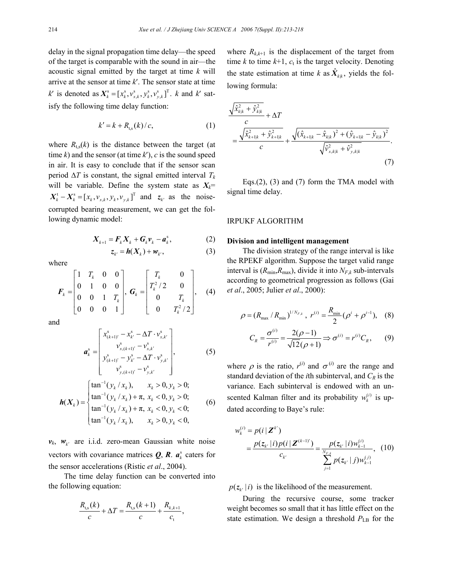delay in the signal propagation time delay—the speed of the target is comparable with the sound in air—the acoustic signal emitted by the target at time *k* will arrive at the sensor at time *k*′. The sensor state at time  $k'$  is denoted as  $X_k^s = [x_k^s, v_{x,k}^s, y_{y,k}^s]^T$ . *k* and *k*<sup>*'*</sup> satisfy the following time delay function:

$$
k' = k + R_{\rm t,s}(k) / c,\tag{1}
$$

where  $R_{\text{t,s}}(k)$  is the distance between the target (at time  $k$ ) and the sensor (at time  $k'$ ),  $c$  is the sound speed in air. It is easy to conclude that if the sensor scan period  $\Delta T$  is constant, the signal emitted interval  $T_k$ will be variable. Define the system state as  $X_k$ =  $X_k^t - X_k^s = [x_k, v_{x,k}, y_k, v_{y,k}]^T$  and  $z_k^t$  as the noisecorrupted bearing measurement, we can get the following dynamic model:

$$
\boldsymbol{X}_{k+1} = \boldsymbol{F}_k \boldsymbol{X}_k + \boldsymbol{G}_k \boldsymbol{v}_k - \boldsymbol{a}_k^s, \tag{2}
$$

$$
z_{k'} = h(X_k) + w_{k'}, \qquad (3)
$$

where

$$
\boldsymbol{F}_k = \begin{bmatrix} 1 & T_k & 0 & 0 \\ 0 & 1 & 0 & 0 \\ 0 & 0 & 1 & T_k \\ 0 & 0 & 0 & 1 \end{bmatrix}, \ \boldsymbol{G}_k = \begin{bmatrix} T_k & 0 \\ T_k^2 / 2 & 0 \\ 0 & T_k \\ 0 & T_k^2 / 2 \end{bmatrix}, \quad (4)
$$

and

$$
\boldsymbol{a}_{k}^{s} = \begin{bmatrix} x_{(k+1)'}^{s} - x_{k'}^{s} - \Delta T \cdot v_{x,k'}^{s} \\ v_{x,(k+1)'}^{s} - v_{x,k'}^{s} \\ y_{(k+1)'}^{s} - y_{k'}^{s} - \Delta T \cdot v_{y,k'}^{s} \\ v_{y,(k+1)'}^{s} - v_{y,k'}^{s} \end{bmatrix},
$$
(5)

$$
\mathbf{h}(X_k) = \begin{cases} \n\tan^{-1}(y_k / x_k), & x_k > 0, y_k > 0; \\
\tan^{-1}(y_k / x_k) + \pi, & x_k < 0, y_k > 0; \\
\tan^{-1}(y_k / x_k) + \pi, & x_k < 0, y_k < 0; \\
\tan^{-1}(y_k / x_k), & x_k > 0, y_k < 0,\n\end{cases} \tag{6}
$$

 $v_k$ ,  $w_k$  are i.i.d. zero-mean Gaussian white noise vectors with covariance matrices  $Q$ ,  $R$ .  $a_k^s$  caters for the sensor accelerations (Ristic *et al*., 2004).

The time delay function can be converted into the following equation:

$$
\frac{R_{\rm t,s}(k)}{c} + \Delta T = \frac{R_{\rm t,s}(k+1)}{c} + \frac{R_{k,k+1}}{c_{\rm t}},
$$

where  $R_{k,k+1}$  is the displacement of the target from time  $k$  to time  $k+1$ ,  $c_t$  is the target velocity. Denoting the state estimation at time *k* as  $\hat{X}_{kk}$ , yields the following formula:

$$
\frac{\sqrt{\hat{x}_{k|k}^2 + \hat{y}_{k|k}^2}}{c} + \Delta T
$$
\n
$$
= \frac{\sqrt{\hat{x}_{k+1|k}^2 + \hat{y}_{k+1|k}^2}}{c} + \frac{\sqrt{(\hat{x}_{k+1|k} - \hat{x}_{k|k})^2 + (\hat{y}_{k+1|k} - \hat{y}_{k|k})^2}}{\sqrt{\hat{v}_{x,k|k}^2 + \hat{v}_{y,k|k}^2}}.
$$
\n(7)

Eqs.(2), (3) and (7) form the TMA model with signal time delay.

## IRPUKF ALGORITHM

## **Division and intelligent management**

The division strategy of the range interval is like the RPEKF algorithm. Suppose the target valid range interval is  $(R_{\text{min}}, R_{\text{max}})$ , divide it into  $N_{F,k}$  sub-intervals according to geometrical progression as follows (Gai *et al*., 2005; Julier *et al*., 2000):

$$
\rho = (R_{\max} / R_{\min})^{1/N_{F,k}}, r^{(i)} = \frac{R_{\min}}{2} (\rho^i + \rho^{i-1}),
$$
 (8)

$$
C_R = \frac{\sigma^{(i)}}{r^{(i)}} = \frac{2(\rho - 1)}{\sqrt{12}(\rho + 1)} \Rightarrow \sigma^{(i)} = r^{(i)}C_R, \qquad (9)
$$

where  $\rho$  is the ratio,  $r^{(i)}$  and  $\sigma^{(i)}$  are the range and standard deviation of the *i*th subinterval, and  $C_R$  is the variance. Each subinterval is endowed with an unscented Kalman filter and its probability  $w_k^{(i)}$  is updated according to Baye's rule:

$$
w_k^{(i)} = p(i | \mathbf{Z}^{k'})
$$
  
= 
$$
\frac{p(z_{k'} | i) p(i | \mathbf{Z}^{(k-1)'})}{c_{k'}} = \frac{p(z_{k'} | i) w_{k-1}^{(i)}}{\sum_{j=1}^{N_{E,k}} p(z_{k'} | j) w_{k-1}^{(j)}},
$$
 (10)

 $p(z_{k'} | i)$  is the likelihood of the measurement.

During the recursive course, some tracker weight becomes so small that it has little effect on the state estimation. We design a threshold  $P_{\text{LB}}$  for the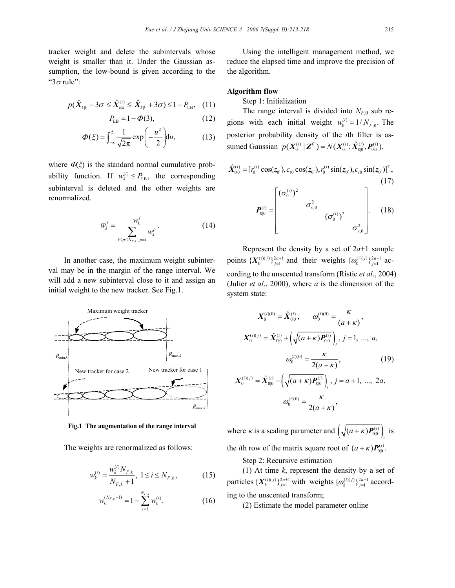tracker weight and delete the subintervals whose weight is smaller than it. Under the Gaussian assumption, the low-bound is given according to the " $3\sigma$  rule":

$$
p(\hat{X}_{k|k} - 3\sigma \le \hat{X}_{k|k}^{(i)} \le \hat{X}_{k|k} + 3\sigma) \le 1 - P_{LB}, \quad (11)
$$

$$
P_{\text{LB}} = 1 - \Phi(3),\tag{12}
$$

$$
\Phi(\xi) = \int_{-\infty}^{\xi} \frac{1}{\sqrt{2\pi}} \exp\left(-\frac{u^2}{2}\right) du,\tag{13}
$$

where  $\Phi(\xi)$  is the standard normal cumulative probability function. If  $w_k^{(i)} \leq P_{\text{LB}}$ , the corresponding subinterval is deleted and the other weights are renormalized.

$$
\overline{w}_k^j = \frac{w_k^j}{\sum_{1 \le p \le N_{F,k}, p \ne i} w_k^p}.
$$
 (14)

In another case, the maximum weight subinterval may be in the margin of the range interval. We will add a new subinterval close to it and assign an initial weight to the new tracker. See Fig.1.



**Fig.1 The augmentation of the range interval**

The weights are renormalized as follows:

$$
\overline{w}_{k}^{(i)} = \frac{w_{k}^{(i)} N_{F,k}}{N_{F,k} + 1}, \ 1 \le i \le N_{F,k}, \tag{15}
$$

$$
\overline{w}_{k}^{(N_{F,k}+1)} = 1 - \sum_{i=1}^{N_{F,k}} \overline{w}_{k}^{(i)}.
$$
 (16)

Using the intelligent management method, we reduce the elapsed time and improve the precision of the algorithm.

# **Algorithm flow**

Step 1: Initialization

The range interval is divided into  $N_{F,0}$  sub regions with each initial weight  $w_0^{(i)} = 1/N_{F,0}$ . The posterior probability density of the *i*th filter is assumed Gaussian  $p(X_0^{(i)} | \mathbf{Z}^{0'}) = N(X_0^{(i)}; \hat{X}_{0|0}^{(i)}, \mathbf{P}_{0|0}^{(i)})$ .

$$
\hat{\mathbf{X}}_{0|0}^{(i)} = [r_0^{(i)} \cos(z_0), c_{t0} \cos(z_0), r_0^{(i)} \sin(z_0), c_{t0} \sin(z_0)]^\mathrm{T},
$$
\n(17)  
\n
$$
\mathbf{P}_{0|0}^{(i)} = \begin{bmatrix} (\sigma_0^{(i)})^2 & & \\ & \sigma_{v,0}^2 & \\ & & (\sigma_0^{(i)})^2 & \\ & & & \sigma_{v,0}^2 \end{bmatrix}.
$$
\n(18)

Represent the density by a set of  $2a+1$  sample points  $\{X_0^{(i)(j)}\}_{j=1}^{2a+1}$  and their weights  $\{\omega_0^{(i)(j)}\}_{j=1}^{2a+1}$  according to the unscented transform (Ristic *et al*., 2004) (Julier *et al*., 2000), where *a* is the dimension of the system state:

$$
X_0^{(i)(0)} = \hat{X}_{0|0}^{(i)}, \qquad \omega_0^{(i)(0)} = \frac{\kappa}{(a+\kappa)},
$$
  

$$
X_0^{(i)(j)} = \hat{X}_{0|0}^{(i)} + \left(\sqrt{(a+\kappa)P_{0|0}}\right)_i, j = 1, ..., a,
$$
  

$$
\omega_0^{(i)(0)} = \frac{\kappa}{2(a+\kappa)},
$$
 (19)

$$
X_0^{(i)(j)} = \hat{X}_{0|0}^{(i)} - \left(\sqrt{(a+\kappa)P_{0|0}^{(i)}}\right)_i, j = a+1, ..., 2a,
$$

$$
\omega_0^{(i)(0)} = \frac{\kappa}{2(a+\kappa)},
$$

where *κ* is a scaling parameter and  $(\sqrt{(a+\kappa)P_{0|0}})^i$  is the *i*th row of the matrix square root of  $(a + \kappa)P_{0|0}^{(i)}$ .

Step 2: Recursive estimation

(1) At time *k*, represent the density by a set of particles  $\{X_k^{(i)(j)}\}_{j=1}^{2a+1}$  with weights  $\{\omega_k^{(i)(j)}\}_{j=1}^{2a+1}$  according to the unscented transform;

(2) Estimate the model parameter online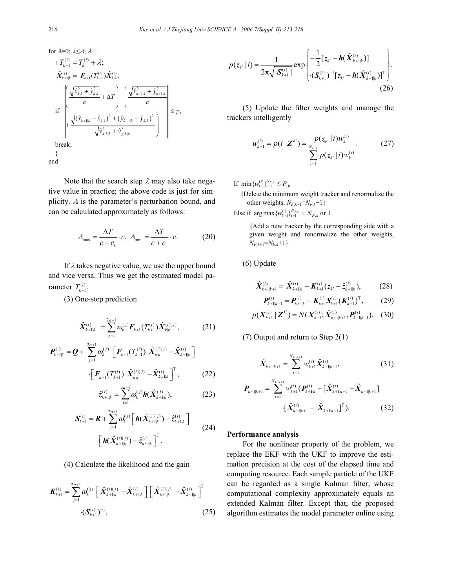for 
$$
\lambda=0
$$
;  $\lambda \leq A$ ;  $\lambda$ ++  
\n{ $T_{k+1}^{(i)} = T_k^{(i)} + \lambda$ ;  
\n $\hat{X}_{k+1|k}^{(i)} = F_{k+1}(T_{k+1}^{(i)})\hat{X}_{k|k}^{(i)}$ ;  
\nif  
\nif  
\n
$$
\sqrt{\frac{\hat{X}_{k|k}^2 + \hat{Y}_{k|k}^2}{c} + \Delta T} - \left(\frac{\sqrt{\hat{X}_{k+1|k}^2 + \hat{Y}_{k+1|k}^2}}{c}\right)^2 + \frac{\sqrt{(\hat{X}_{k+1|k} - \hat{X}_{k|k})^2 + (\hat{Y}_{k+1|k} - \hat{Y}_{k|k})^2}}{\sqrt{\hat{Y}_{x,k|k}^2 + \hat{Y}_{y,k|k}^2}} \right) \leq \gamma,
$$
\nbreak;  
\nbreak;  
\n}

Note that the search step  $\lambda$  may also take negative value in practice; the above code is just for simplicity.  $\Lambda$  is the parameter's perturbation bound, and can be calculated approximately as follows:

$$
A_{\text{max}} = \frac{\Delta T}{c - c_t} \cdot c, \quad A_{\text{min}} = \frac{\Delta T}{c + c_t} \cdot c. \tag{20}
$$

If  $\lambda$  takes negative value, we use the upper bound and vice versa. Thus we get the estimated model parameter  $T_{k+1}^{(i)}$ .

(3) One-step prediction

$$
\hat{\boldsymbol{X}}_{k+1|k}^{(i)} = \sum_{j=1}^{2a+1} \omega_k^{(j)} \boldsymbol{F}_{k+1}(T_{k+1}^{(i)}) \hat{\boldsymbol{X}}_{k|k}^{(i)(j)},
$$
(21)

$$
\boldsymbol{P}_{k+1|k}^{(i)} = \boldsymbol{Q} + \sum_{j=1}^{2a+1} \omega_k^{(j)} \left[ \boldsymbol{F}_{k+1} (T_{k+1}^{(i)}) \ \hat{\boldsymbol{X}}_{k|k}^{(i)(j)} - \hat{\boldsymbol{X}}_{k+1|k}^{(i)} \right] \ \cdot \left[ \boldsymbol{F}_{k+1} (T_{k+1}^{(i)}) \ \hat{\boldsymbol{X}}_{k|k}^{(i)(j)} - \hat{\boldsymbol{X}}_{k+1|k}^{(i)} \right]^{\mathrm{T}}, \tag{22}
$$

$$
\hat{z}_{k+1|k}^{(i)} = \sum_{j=1}^{2a+1} \omega_k^{(j)} \mathbf{h}(\hat{X}_{k+1|k}^{(j)}), \tag{23}
$$

$$
\mathbf{S}_{k+1}^{(i)} = \mathbf{R} + \sum_{j=1}^{2a+1} \omega_k^{(j)} \left[ \mathbf{h}(\hat{X}_{k+1|k}^{(i)(j)}) - \hat{z}_{k+1|k}^{(i)} \right] \tag{24}
$$
\n
$$
\cdot \left[ \mathbf{h}(\hat{X}_{k+1|k}^{(i)(j)}) - \hat{z}_{k+1|k}^{(i)} \right]^{\mathrm{T}}.
$$

(4) Calculate the likelihood and the gain

$$
\boldsymbol{K}_{k+1}^{(i)} = \sum_{j=1}^{2a+1} \omega_k^{(j)} \left[ \hat{\boldsymbol{X}}_{k+1|k}^{(i)(j)} - \hat{\boldsymbol{X}}_{k+1|k}^{(i)} \right] \left[ \hat{\boldsymbol{X}}_{k+1|k}^{(i)(j)} - \hat{\boldsymbol{X}}_{k+1|k}^{(i)} \right]^{\mathrm{T}} \tag{25}
$$

$$
p(z_{k'} | i) = \frac{1}{2\pi \sqrt{|\mathcal{S}_{k+1}^{(i)}|}} \exp \left\{ -\frac{1}{2} [z_{k'} - \mathbf{h}(\hat{\mathbf{X}}_{k+1|k}^{(i)})] \right\} \cdot (\mathcal{S}_{k+1}^{(i)})^{-1} [z_{k'} - \mathbf{h}(\hat{\mathbf{X}}_{k+1|k}^{(i)})]^{\mathrm{T}} \right\} \cdot (26)
$$

(5) Update the filter weights and manage the trackers intelligently

$$
w_{k+1}^{(i)} = p(i | \mathbf{Z}^{k'}) = \frac{p(z_{k'} | i) w_{k}^{(i)}}{\sum_{i=1}^{N_{F,k}} p(z_{k'} | i) w_{k}^{(i)}}.
$$
 (27)

If  $\min \{ w_k^{(i)} \}_{i=1}^{N_{F,k}} \leq P_{\text{LB}}$ 

 {Delete the minimum weight tracker and renormalize the other weights,  $N_{F,k+1} = N_{F,k} - 1$ }

Else if  $\arg \max_{i} \{ w_{k+1}^{(i)} \}_{i=1}^{N_{F,k}} = N_{F,k}$  or 1

{Add a new tracker by the corresponding side with a given weight and renormalize the other weights,  $N_{F,k+1} = N_{F,k} + 1$ }

(6) Update

$$
\hat{\boldsymbol{X}}_{k+1|k+1}^{(i)} = \hat{\boldsymbol{X}}_{k+1|k}^{(i)} + \boldsymbol{K}_{k+1}^{(i)}(z_{k'} - \hat{z}_{k+1|k}^{(i)}), \quad (28)
$$

$$
\boldsymbol{P}_{k+1|k+1}^{(i)} = \boldsymbol{P}_{k+1|k}^{(i)} - \boldsymbol{K}_{k+1}^{(i)} \boldsymbol{S}_{k+1}^{(i)} (\boldsymbol{K}_{k+1}^{(i)})^{\mathrm{T}},
$$
(29)

$$
p(X_{k+1}^{(i)} | \mathbf{Z}^{k'}) = N(X_{k+1}^{(i)}; \hat{X}_{k+1|k+1}^{(i)}, P_{k+1|k+1}^{(i)}). \quad (30)
$$

(7) Output and return to Step 2(1)

$$
\hat{\boldsymbol{X}}_{k+1|k+1} = \sum_{i=1}^{N_{F,k+1}} w_{k+1}^{(i)} \hat{\boldsymbol{X}}_{k+1|k+1}^{(i)},
$$
\n(31)

$$
\boldsymbol{P}_{k+1|k+1} = \sum_{i=1}^{N_{F,k+1}} w_{k+1}^{(i)} (\boldsymbol{P}_{k+1|k}^{(i)} + [\hat{\boldsymbol{X}}_{k+1|k+1}^{(i)} - \hat{\boldsymbol{X}}_{k+1|k+1}])
$$

$$
[\hat{\boldsymbol{X}}_{k+1|k+1}^{(i)} - \hat{\boldsymbol{X}}_{k+1|k+1}]^{\mathrm{T}}). \tag{32}
$$

#### **Performance analysis**

For the nonlinear property of the problem, we replace the EKF with the UKF to improve the estimation precision at the cost of the elapsed time and computing resource. Each sample particle of the UKF can be regarded as a single Kalman filter, whose computational complexity approximately equals an extended Kalman filter. Except that, the proposed algorithm estimates the model parameter online using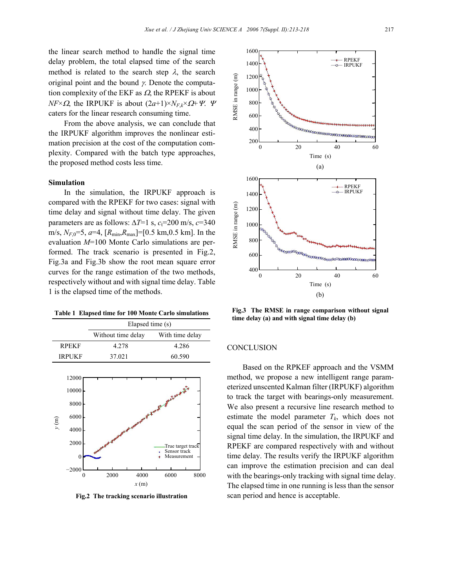the linear search method to handle the signal time delay problem, the total elapsed time of the search method is related to the search step  $\lambda$ , the search original point and the bound  $\gamma$ . Denote the computation complexity of the EKF as  $\Omega$ , the RPEKF is about *NF*× $\Omega$ , the IRPUKF is about  $(2a+1) \times N_F \times \Omega + \Psi$ . Ψ caters for the linear research consuming time.

From the above analysis, we can conclude that the IRPUKF algorithm improves the nonlinear estimation precision at the cost of the computation complexity. Compared with the batch type approaches, the proposed method costs less time.

#### **Simulation**

In the simulation, the IRPUKF approach is compared with the RPEKF for two cases: signal with time delay and signal without time delay. The given parameters are as follows:  $\Delta T=1$  s,  $c_t=200$  m/s,  $c=340$ m/s, *NF*,0=5, *a*=4, [*R*min,*R*max]=[0.5 km,0.5 km]. In the evaluation *M*=100 Monte Carlo simulations are performed. The track scenario is presented in Fig.2, Fig.3a and Fig.3b show the root mean square error curves for the range estimation of the two methods, respectively without and with signal time delay. Table 1 is the elapsed time of the methods.

**Table 1 Elapsed time for 100 Monte Carlo simulations** 

|               | Elapsed time (s)   |                 |
|---------------|--------------------|-----------------|
|               | Without time delay | With time delay |
| <b>RPEKF</b>  | 4.278              | 4.286           |
| <b>IRPUKF</b> | 37.021             | 60.590          |
|               |                    |                 |



**Fig.2 The tracking scenario illustration**



**Fig.3 The RMSE in range comparison without signal time delay (a) and with signal time delay (b)**

## **CONCLUSION**

Based on the RPKEF approach and the VSMM method, we propose a new intelligent range parameterized unscented Kalman filter (IRPUKF) algorithm to track the target with bearings-only measurement. We also present a recursive line research method to estimate the model parameter  $T_k$ , which does not equal the scan period of the sensor in view of the signal time delay. In the simulation, the IRPUKF and RPEKF are compared respectively with and without time delay. The results verify the IRPUKF algorithm can improve the estimation precision and can deal with the bearings-only tracking with signal time delay. The elapsed time in one running is less than the sensor scan period and hence is acceptable.